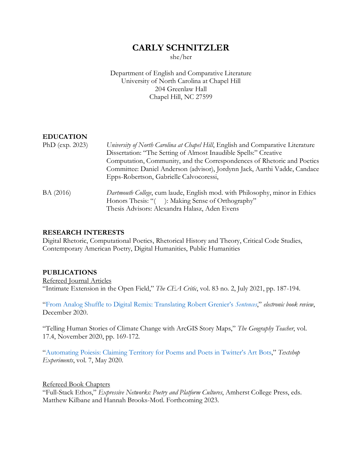# **CARLY SCHNITZLER**

she/her

Department of English and Comparative Literature University of North Carolina at Chapel Hill 204 Greenlaw Hall Chapel Hill, NC 27599

# **EDUCATION**

| PhD ( $exp. 2023$ ) | University of North Carolina at Chapel Hill, English and Comparative Literature |
|---------------------|---------------------------------------------------------------------------------|
|                     | Dissertation: "The Setting of Almost Inaudible Spells:" Creative                |
|                     | Computation, Community, and the Correspondences of Rhetoric and Poetics         |
|                     | Committee: Daniel Anderson (advisor), Jordynn Jack, Aarthi Vadde, Candace       |
|                     | Epps-Robertson, Gabrielle Calvocoressi,                                         |
| BA (2016)           | Dartmouth College, cum laude, English mod. with Philosophy, minor in Ethics     |
|                     | Honors Thesis: "(): Making Sense of Orthography"                                |
|                     | Thesis Advisors: Alexandra Halasz, Aden Evens                                   |

#### **RESEARCH INTERESTS**

Digital Rhetoric, Computational Poetics, Rhetorical History and Theory, Critical Code Studies, Contemporary American Poetry, Digital Humanities, Public Humanities

#### **PUBLICATIONS**

Refereed Journal Articles "Intimate Extension in the Open Field," *The CEA Critic*, vol. 83 no. 2, July 2021, pp. 187-194.

["From Analog Shuffle to Digital Remix: Translating Robert Grenier's](http://electronicbookreview.com/essay/from-analog-shuffle-to-digital-remix-translating-robert-greniers-sentences/) *Sentences*," *electronic book review*, December 2020.

"Telling Human Stories of Climate Change with ArcGIS Story Maps," *The Geography Teacher*, vol. 17.4, November 2020, pp. 169-172.

"Automating Poiesis[: Claiming Territory for Poems and Poets in Twitter's Art](http://textshopexperiments.org/textshop07/automating-poiesis) Bots," *Textshop Experiments*, vol. 7, May 2020.

Refereed Book Chapters "Full-Stack Ethos," *Expressive Networks: Poetry and Platform Cultures*, Amherst College Press, eds. Matthew Kilbane and Hannah Brooks-Motl. Forthcoming 2023.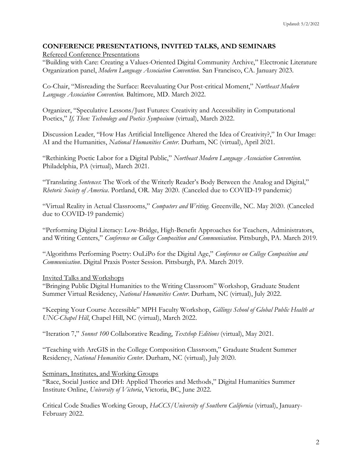## **CONFERENCE PRESENTATIONS, INVITED TALKS, AND SEMINARS**

Refereed Conference Presentations

"Building with Care: Creating a Values-Oriented Digital Community Archive," Electronic Literature Organization panel, *Modern Language Association Convention.* San Francisco, CA. January 2023.

Co-Chair, "Misreading the Surface: Reevaluating Our Post-critical Moment," *Northeast Modern Language Association Convention.* Baltimore, MD. March 2022.

Organizer, "Speculative Lessons/Just Futures: Creativity and Accessibility in Computational Poetics," *If, Then: Technology and Poetics Symposium* (virtual), March 2022.

Discussion Leader, "How Has Artificial Intelligence Altered the Idea of Creativity?," In Our Image: AI and the Humanities, *National Humanities Center*. Durham, NC (virtual), April 2021.

"Rethinking Poetic Labor for a Digital Public," *Northeast Modern Language Association Convention.*  Philadelphia, PA (virtual), March 2021.

"Translating *Sentences*: The Work of the Writerly Reader's Body Between the Analog and Digital," *Rhetoric Society of America*. Portland, OR. May 2020. (Canceled due to COVID-19 pandemic)

"Virtual Reality in Actual Classrooms," *Computers and Writing*. Greenville, NC. May 2020. (Canceled due to COVID-19 pandemic)

"Performing Digital Literacy: Low-Bridge, High-Benefit Approaches for Teachers, Administrators, and Writing Centers," *Conference on College Composition and Communication*. Pittsburgh, PA. March 2019.

"Algorithms Performing Poetry: OuLiPo for the Digital Age," *Conference on College Composition and Communication*. Digital Praxis Poster Session. Pittsburgh, PA. March 2019.

#### Invited Talks and Workshops

"Bringing Public Digital Humanities to the Writing Classroom" Workshop, Graduate Student Summer Virtual Residency, *National Humanities Center.* Durham, NC (virtual), July 2022.

"Keeping Your Course Accessible" MPH Faculty Workshop, *Gillings School of Global Public Health at UNC-Chapel Hill*, Chapel Hill, NC (virtual), March 2022.

"Iteration 7," *Sonnet 100* Collaborative Reading, *Textshop Editions* (virtual), May 2021.

"Teaching with ArcGIS in the College Composition Classroom," Graduate Student Summer Residency, *National Humanities Center*. Durham, NC (virtual), July 2020.

#### Seminars, Institutes, and Working Groups

"Race, Social Justice and DH: Applied Theories and Methods," Digital Humanities Summer Institute Online, *University of Victoria*, Victoria, BC, June 2022.

Critical Code Studies Working Group, *HaCCS/University of Southern California* (virtual), January-February 2022.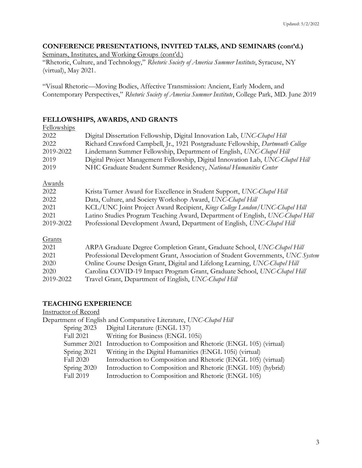# **CONFERENCE PRESENTATIONS, INVITED TALKS, AND SEMINARS (cont'd.)**

Seminars, Institutes, and Working Groups (cont'd.) "Rhetoric, Culture, and Technology," *Rhetoric Society of America Summer Institute*, Syracuse, NY (virtual), May 2021.

"Visual Rhetoric—Moving Bodies, Affective Transmission: Ancient, Early Modern, and Contemporary Perspectives," *Rhetoric Society of America Summer Institute*, College Park, MD. June 2019

## **FELLOWSHIPS, AWARDS, AND GRANTS**

| Fellowships   |                                                                                 |
|---------------|---------------------------------------------------------------------------------|
| 2022          | Digital Dissertation Fellowship, Digital Innovation Lab, UNC-Chapel Hill        |
| 2022          | Richard Crawford Campbell, Jr., 1921 Postgraduate Fellowship, Dartmouth College |
| 2019-2022     | Lindemann Summer Fellowship, Department of English, UNC-Chapel Hill             |
| 2019          | Digital Project Management Fellowship, Digital Innovation Lab, UNC-Chapel Hill  |
| 2019          | NHC Graduate Student Summer Residency, National Humanities Center               |
| <u>Awards</u> |                                                                                 |
| 2022          | Krista Turner Award for Excellence in Student Support, UNC-Chapel Hill          |
| 2022          | Data, Culture, and Society Workshop Award, UNC-Chapel Hill                      |
| 2021          | KCL/UNC Joint Project Award Recipient, Kings College London/UNC-Chapel Hill     |
| 2021          | Latino Studies Program Teaching Award, Department of English, UNC-Chapel Hill   |
| 2019-2022     | Professional Development Award, Department of English, UNC-Chapel Hill          |
| Grants        |                                                                                 |
| 2021          | ARPA Graduate Degree Completion Grant, Graduate School, UNC-Chapel Hill         |
| 2021          | Professional Development Grant, Association of Student Governments, UNC System  |
| 2020          | Online Course Design Grant, Digital and Lifelong Learning, UNC-Chapel Hill      |
| 2020          | Carolina COVID-19 Impact Program Grant, Graduate School, UNC-Chapel Hill        |
| 2019-2022     | Travel Grant, Department of English, UNC-Chapel Hill                            |

# **TEACHING EXPERIENCE**

Instructor of Record

|                  | Department of English and Comparative Literature, UNC-Chapel Hill         |
|------------------|---------------------------------------------------------------------------|
| Spring 2023      | Digital Literature (ENGL 137)                                             |
| <b>Fall 2021</b> | Writing for Business (ENGL 105i)                                          |
|                  | Summer 2021 Introduction to Composition and Rhetoric (ENGL 105) (virtual) |
| Spring 2021      | Writing in the Digital Humanities (ENGL 105i) (virtual)                   |
| <b>Fall 2020</b> | Introduction to Composition and Rhetoric (ENGL 105) (virtual)             |
| Spring 2020      | Introduction to Composition and Rhetoric (ENGL 105) (hybrid)              |
| Fall 2019        | Introduction to Composition and Rhetoric (ENGL 105)                       |
|                  |                                                                           |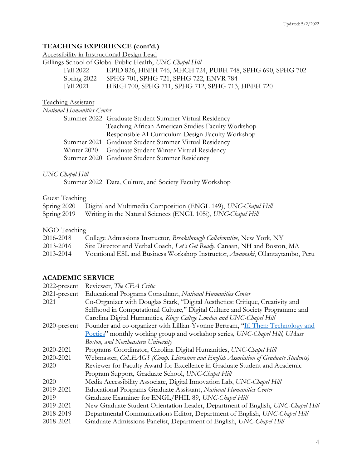# **TEACHING EXPERIENCE (cont'd.)**

Accessibility in Instructional Design Lead<br>Gillings School of Global Public Health, U

|             | Gillings School of Global Public Health, UNC-Chapel Hill   |
|-------------|------------------------------------------------------------|
| Fall 2022   | EPID 826, HBEH 746, MHCH 724, PUBH 748, SPHG 690, SPHG 702 |
| Spring 2022 | SPHG 701, SPHG 721, SPHG 722, ENVR 784                     |
| Fall 2021   | HBEH 700, SPHG 711, SPHG 712, SPHG 713, HBEH 720           |

## Teaching Assistant

*National Humanities Center*

| Summer 2022 Graduate Student Summer Virtual Residency |
|-------------------------------------------------------|
| Teaching African American Studies Faculty Workshop    |
| Responsible AI Curriculum Design Faculty Workshop     |
| Summer 2021 Graduate Student Summer Virtual Residency |
| Winter 2020 Graduate Student Winter Virtual Residency |
| Summer 2020 Graduate Student Summer Residency         |

## *UNC-Chapel Hill*

Summer 2022 Data, Culture, and Society Faculty Workshop

## Guest Teaching

| Spring 2020 | Digital and Multimedia Composition (ENGL 149), UNC-Chapel Hill |
|-------------|----------------------------------------------------------------|
| Spring 2019 | Writing in the Natural Sciences (ENGL 105i), UNC-Chapel Hill   |

## **NGO** Teaching

| 2016-2018 | College Admissions Instructor, Breakthrough Collaborative, New York, NY               |
|-----------|---------------------------------------------------------------------------------------|
| 2013-2016 | Site Director and Verbal Coach, Let's Get Ready, Canaan, NH and Boston, MA            |
| 2013-2014 | Vocational ESL and Business Workshop Instructor, <i>Awamaki</i> , Ollantaytambo, Peru |

## **ACADEMIC SERVICE**

| 2022-present    | Reviewer, The CEA Critic                                                           |
|-----------------|------------------------------------------------------------------------------------|
| 2021-present    | Educational Programs Consultant, National Humanities Center                        |
| 2021            | Co-Organizer with Douglas Stark, "Digital Aesthetics: Critique, Creativity and     |
|                 | Selfhood in Computational Culture," Digital Culture and Society Programme and      |
|                 | Carolina Digital Humanities, Kings College London and UNC-Chapel Hill              |
| $2020$ -present | Founder and co-organizer with Lillian-Yvonne Bertram, "If, Then: Technology and    |
|                 | Poetics" monthly working group and workshop series, UNC-Chapel Hill, UMass         |
|                 | Boston, and Northeastern University                                                |
| 2020-2021       | Programs Coordinator, Carolina Digital Humanities, UNC-Chapel Hill                 |
| 2020-2021       | Webmaster, CoLEAGS (Comp. Literature and English Association of Graduate Students) |
| 2020            | Reviewer for Faculty Award for Excellence in Graduate Student and Academic         |
|                 | Program Support, Graduate School, UNC-Chapel Hill                                  |
| 2020            | Media Accessibility Associate, Digital Innovation Lab, UNC-Chapel Hill             |
| 2019-2021       | Educational Programs Graduate Assistant, National Humanities Center                |
| 2019            | Graduate Examiner for ENGL/PHIL 89, UNC-Chapel Hill                                |
| 2019-2021       | New Graduate Student Orientation Leader, Department of English, UNC-Chapel Hill    |
| 2018-2019       | Departmental Communications Editor, Department of English, UNC-Chapel Hill         |
| 2018-2021       | Graduate Admissions Panelist, Department of English, UNC-Chapel Hill               |